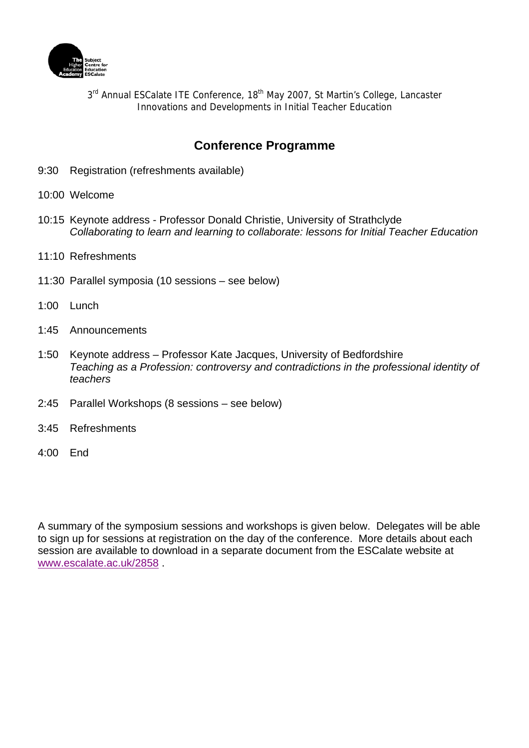

3rd Annual ESCalate ITE Conference, 18<sup>th</sup> May 2007, St Martin's College, Lancaster Innovations and Developments in Initial Teacher Education

# **Conference Programme**

- 9:30 Registration (refreshments available)
- 10:00 Welcome
- 10:15 Keynote address Professor Donald Christie, University of Strathclyde *Collaborating to learn and learning to collaborate: lessons for Initial Teacher Education*
- 11:10 Refreshments
- 11:30 Parallel symposia (10 sessions see below)
- 1:00 Lunch
- 1:45 Announcements
- 1:50 Keynote address Professor Kate Jacques, University of Bedfordshire *Teaching as a Profession: controversy and contradictions in the professional identity of teachers*
- 2:45 Parallel Workshops (8 sessions see below)
- 3:45 Refreshments
- 4:00 End

A summary of the symposium sessions and workshops is given below. Delegates will be able to sign up for sessions at registration on the day of the conference. More details about each session are available to download in a separate document from the ESCalate website at www.escalate.ac.uk/2858 .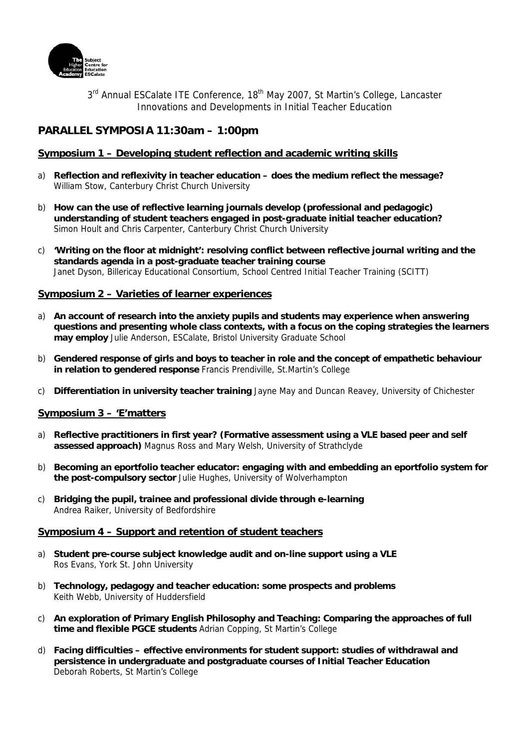

3<sup>rd</sup> Annual ESCalate ITE Conference, 18<sup>th</sup> May 2007, St Martin's College, Lancaster Innovations and Developments in Initial Teacher Education

# **PARALLEL SYMPOSIA 11:30am – 1:00pm**

# **Symposium 1 – Developing student reflection and academic writing skills**

- a) **Reflection and reflexivity in teacher education does the medium reflect the message?**  William Stow, Canterbury Christ Church University
- b) **How can the use of reflective learning journals develop (professional and pedagogic) understanding of student teachers engaged in post-graduate initial teacher education?**  Simon Hoult and Chris Carpenter, Canterbury Christ Church University
- c) **'Writing on the floor at midnight': resolving conflict between reflective journal writing and the standards agenda in a post-graduate teacher training course**  Janet Dyson, Billericay Educational Consortium, School Centred Initial Teacher Training (SCITT)

### **Symposium 2 – Varieties of learner experiences**

- a) **An account of research into the anxiety pupils and students may experience when answering questions and presenting whole class contexts, with a focus on the coping strategies the learners may employ** Julie Anderson, ESCalate, Bristol University Graduate School
- b) **Gendered response of girls and boys to teacher in role and the concept of empathetic behaviour in relation to gendered response** Francis Prendiville, St.Martin's College
- c) **Differentiation in university teacher training** Jayne May and Duncan Reavey, University of Chichester

#### **Symposium 3 – 'E'matters**

- a) **Reflective practitioners in first year? (Formative assessment using a VLE based peer and self assessed approach)** Magnus Ross and Mary Welsh, University of Strathclyde
- b) **Becoming an eportfolio teacher educator: engaging with and embedding an eportfolio system for the post-compulsory sector** Julie Hughes, University of Wolverhampton
- c) **Bridging the pupil, trainee and professional divide through e-learning**  Andrea Raiker, University of Bedfordshire

#### **Symposium 4 – Support and retention of student teachers**

- a) **Student pre-course subject knowledge audit and on-line support using a VLE**  Ros Evans, York St. John University
- b) **Technology, pedagogy and teacher education: some prospects and problems**  Keith Webb, University of Huddersfield
- c) **An exploration of Primary English Philosophy and Teaching: Comparing the approaches of full time and flexible PGCE students** Adrian Copping, St Martin's College
- d) **Facing difficulties effective environments for student support: studies of withdrawal and persistence in undergraduate and postgraduate courses of Initial Teacher Education**  Deborah Roberts, St Martin's College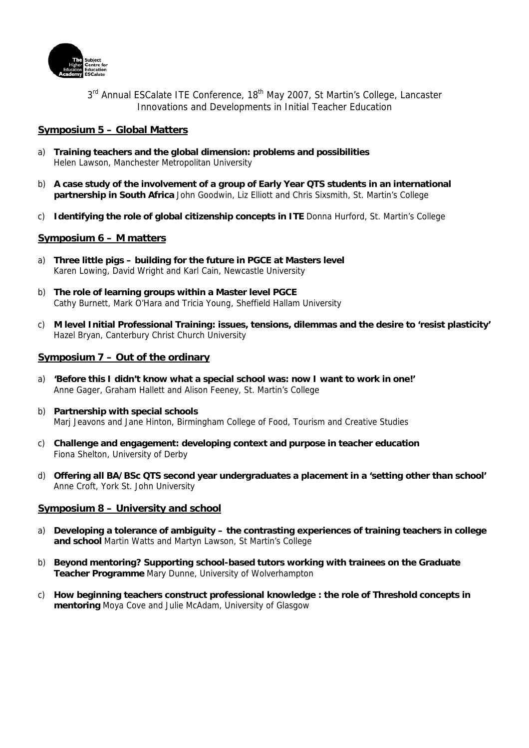

3<sup>rd</sup> Annual ESCalate ITE Conference, 18<sup>th</sup> May 2007, St Martin's College, Lancaster Innovations and Developments in Initial Teacher Education

# **Symposium 5 – Global Matters**

- a) **Training teachers and the global dimension: problems and possibilities**  Helen Lawson, Manchester Metropolitan University
- b) **A case study of the involvement of a group of Early Year QTS students in an international partnership in South Africa** John Goodwin, Liz Elliott and Chris Sixsmith, St. Martin's College
- c) **Identifying the role of global citizenship concepts in ITE** Donna Hurford, St. Martin's College

#### **Symposium 6 – M matters**

- a) **Three little pigs building for the future in PGCE at Masters level**  Karen Lowing, David Wright and Karl Cain, Newcastle University
- b) **The role of learning groups within a Master level PGCE**  Cathy Burnett, Mark O'Hara and Tricia Young, Sheffield Hallam University
- c) **M level Initial Professional Training: issues, tensions, dilemmas and the desire to 'resist plasticity'**  Hazel Bryan, Canterbury Christ Church University

### **Symposium 7 – Out of the ordinary**

- a) **'Before this I didn't know what a special school was: now I want to work in one!'** Anne Gager, Graham Hallett and Alison Feeney, St. Martin's College
- b) **Partnership with special schools**  Marj Jeavons and Jane Hinton, Birmingham College of Food, Tourism and Creative Studies
- c) **Challenge and engagement: developing context and purpose in teacher education**  Fiona Shelton, University of Derby
- d) **Offering all BA/BSc QTS second year undergraduates a placement in a 'setting other than school'**  Anne Croft, York St. John University

#### **Symposium 8 – University and school**

- a) **Developing a tolerance of ambiguity the contrasting experiences of training teachers in college and school** Martin Watts and Martyn Lawson, St Martin's College
- b) **Beyond mentoring? Supporting school-based tutors working with trainees on the Graduate Teacher Programme** Mary Dunne, University of Wolverhampton
- c) **How beginning teachers construct professional knowledge : the role of Threshold concepts in mentoring** Moya Cove and Julie McAdam, University of Glasgow